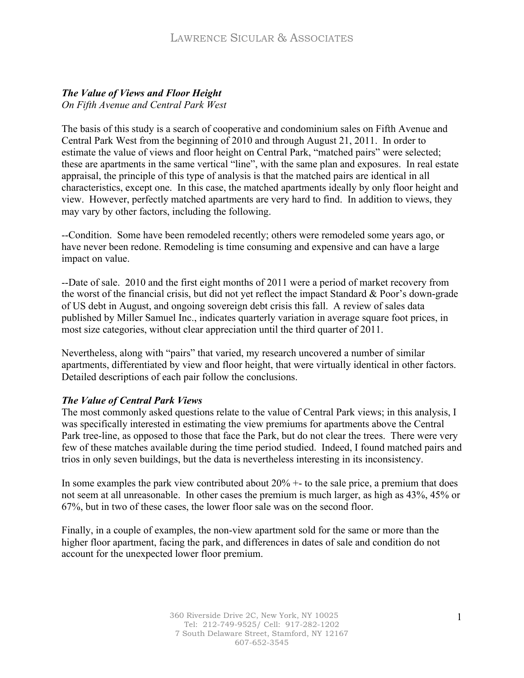# *The Value of Views and Floor Height*

*On Fifth Avenue and Central Park West* 

The basis of this study is a search of cooperative and condominium sales on Fifth Avenue and Central Park West from the beginning of 2010 and through August 21, 2011. In order to estimate the value of views and floor height on Central Park, "matched pairs" were selected; these are apartments in the same vertical "line", with the same plan and exposures. In real estate appraisal, the principle of this type of analysis is that the matched pairs are identical in all characteristics, except one. In this case, the matched apartments ideally by only floor height and view. However, perfectly matched apartments are very hard to find. In addition to views, they may vary by other factors, including the following.

--Condition. Some have been remodeled recently; others were remodeled some years ago, or have never been redone. Remodeling is time consuming and expensive and can have a large impact on value.

--Date of sale. 2010 and the first eight months of 2011 were a period of market recovery from the worst of the financial crisis, but did not yet reflect the impact Standard & Poor's down-grade of US debt in August, and ongoing sovereign debt crisis this fall. A review of sales data published by Miller Samuel Inc., indicates quarterly variation in average square foot prices, in most size categories, without clear appreciation until the third quarter of 2011.

Nevertheless, along with "pairs" that varied, my research uncovered a number of similar apartments, differentiated by view and floor height, that were virtually identical in other factors. Detailed descriptions of each pair follow the conclusions.

# *The Value of Central Park Views*

The most commonly asked questions relate to the value of Central Park views; in this analysis, I was specifically interested in estimating the view premiums for apartments above the Central Park tree-line, as opposed to those that face the Park, but do not clear the trees. There were very few of these matches available during the time period studied. Indeed, I found matched pairs and trios in only seven buildings, but the data is nevertheless interesting in its inconsistency.

In some examples the park view contributed about  $20\% +$  to the sale price, a premium that does not seem at all unreasonable. In other cases the premium is much larger, as high as 43%, 45% or 67%, but in two of these cases, the lower floor sale was on the second floor.

Finally, in a couple of examples, the non-view apartment sold for the same or more than the higher floor apartment, facing the park, and differences in dates of sale and condition do not account for the unexpected lower floor premium.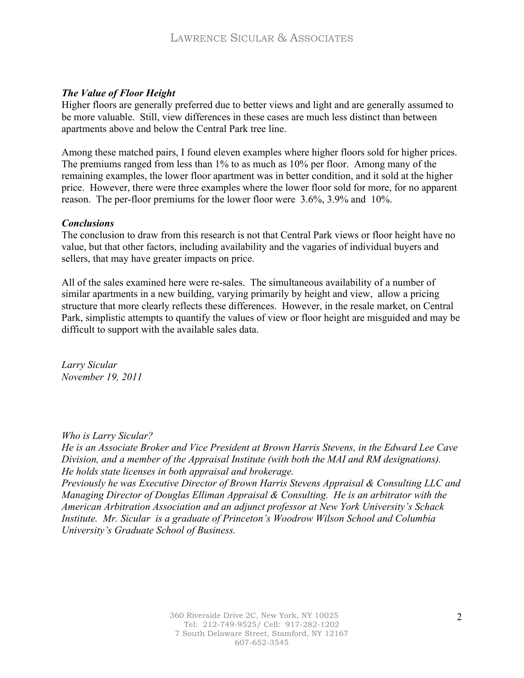## *The Value of Floor Height*

Higher floors are generally preferred due to better views and light and are generally assumed to be more valuable. Still, view differences in these cases are much less distinct than between apartments above and below the Central Park tree line.

Among these matched pairs, I found eleven examples where higher floors sold for higher prices. The premiums ranged from less than 1% to as much as 10% per floor. Among many of the remaining examples, the lower floor apartment was in better condition, and it sold at the higher price. However, there were three examples where the lower floor sold for more, for no apparent reason. The per-floor premiums for the lower floor were 3.6%, 3.9% and 10%.

#### *Conclusions*

The conclusion to draw from this research is not that Central Park views or floor height have no value, but that other factors, including availability and the vagaries of individual buyers and sellers, that may have greater impacts on price.

All of the sales examined here were re-sales. The simultaneous availability of a number of similar apartments in a new building, varying primarily by height and view, allow a pricing structure that more clearly reflects these differences. However, in the resale market, on Central Park, simplistic attempts to quantify the values of view or floor height are misguided and may be difficult to support with the available sales data.

*Larry Sicular November 19, 2011*

*Who is Larry Sicular?*

*He is an Associate Broker and Vice President at Brown Harris Stevens, in the Edward Lee Cave Division, and a member of the Appraisal Institute (with both the MAI and RM designations). He holds state licenses in both appraisal and brokerage.* 

*Previously he was Executive Director of Brown Harris Stevens Appraisal & Consulting LLC and Managing Director of Douglas Elliman Appraisal & Consulting. He is an arbitrator with the American Arbitration Association and an adjunct professor at New York University's Schack Institute. Mr. Sicular is a graduate of Princeton's Woodrow Wilson School and Columbia University's Graduate School of Business.*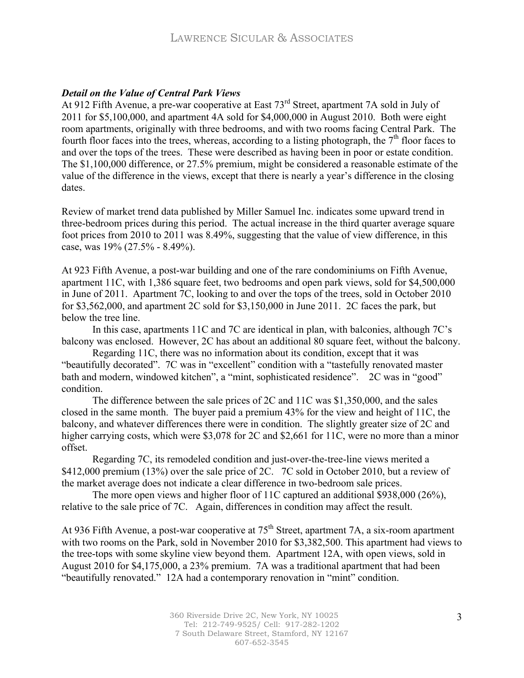## *Detail on the Value of Central Park Views*

At 912 Fifth Avenue, a pre-war cooperative at East 73rd Street, apartment 7A sold in July of 2011 for \$5,100,000, and apartment 4A sold for \$4,000,000 in August 2010. Both were eight room apartments, originally with three bedrooms, and with two rooms facing Central Park. The fourth floor faces into the trees, whereas, according to a listing photograph, the  $7<sup>th</sup>$  floor faces to and over the tops of the trees. These were described as having been in poor or estate condition. The \$1,100,000 difference, or 27.5% premium, might be considered a reasonable estimate of the value of the difference in the views, except that there is nearly a year's difference in the closing dates.

Review of market trend data published by Miller Samuel Inc. indicates some upward trend in three-bedroom prices during this period. The actual increase in the third quarter average square foot prices from 2010 to 2011 was 8.49%, suggesting that the value of view difference, in this case, was 19% (27.5% - 8.49%).

At 923 Fifth Avenue, a post-war building and one of the rare condominiums on Fifth Avenue, apartment 11C, with 1,386 square feet, two bedrooms and open park views, sold for \$4,500,000 in June of 2011. Apartment 7C, looking to and over the tops of the trees, sold in October 2010 for \$3,562,000, and apartment 2C sold for \$3,150,000 in June 2011. 2C faces the park, but below the tree line.

In this case, apartments 11C and 7C are identical in plan, with balconies, although 7C's balcony was enclosed. However, 2C has about an additional 80 square feet, without the balcony.

Regarding 11C, there was no information about its condition, except that it was "beautifully decorated". 7C was in "excellent" condition with a "tastefully renovated master bath and modern, windowed kitchen", a "mint, sophisticated residence". 2C was in "good" condition.

The difference between the sale prices of 2C and 11C was \$1,350,000, and the sales closed in the same month. The buyer paid a premium 43% for the view and height of 11C, the balcony, and whatever differences there were in condition. The slightly greater size of 2C and higher carrying costs, which were \$3,078 for 2C and \$2,661 for 11C, were no more than a minor offset.

Regarding 7C, its remodeled condition and just-over-the-tree-line views merited a \$412,000 premium (13%) over the sale price of 2C. 7C sold in October 2010, but a review of the market average does not indicate a clear difference in two-bedroom sale prices.

The more open views and higher floor of 11C captured an additional \$938,000 (26%), relative to the sale price of 7C. Again, differences in condition may affect the result.

At 936 Fifth Avenue, a post-war cooperative at 75<sup>th</sup> Street, apartment 7A, a six-room apartment with two rooms on the Park, sold in November 2010 for \$3,382,500. This apartment had views to the tree-tops with some skyline view beyond them. Apartment 12A, with open views, sold in August 2010 for \$4,175,000, a 23% premium. 7A was a traditional apartment that had been "beautifully renovated." 12A had a contemporary renovation in "mint" condition.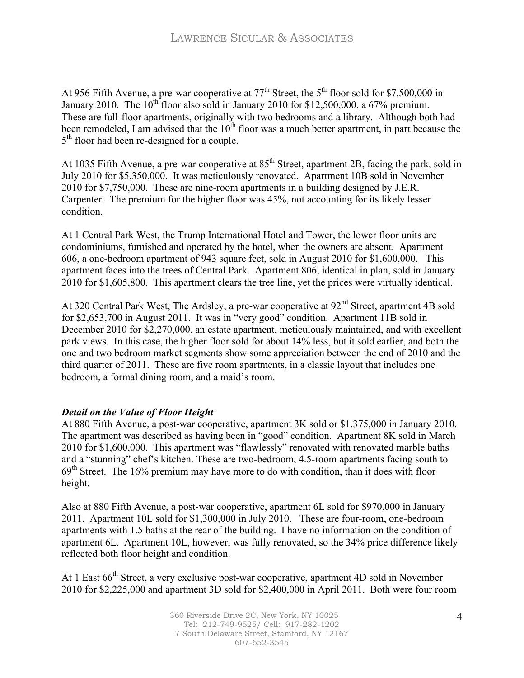At 956 Fifth Avenue, a pre-war cooperative at  $77<sup>th</sup>$  Street, the 5<sup>th</sup> floor sold for \$7,500,000 in January 2010. The  $10^{th}$  floor also sold in January 2010 for \$12,500,000, a 67% premium. These are full-floor apartments, originally with two bedrooms and a library. Although both had been remodeled, I am advised that the  $10<sup>th</sup>$  floor was a much better apartment, in part because the 5<sup>th</sup> floor had been re-designed for a couple.

At 1035 Fifth Avenue, a pre-war cooperative at 85<sup>th</sup> Street, apartment 2B, facing the park, sold in July 2010 for \$5,350,000. It was meticulously renovated. Apartment 10B sold in November 2010 for \$7,750,000. These are nine-room apartments in a building designed by J.E.R. Carpenter. The premium for the higher floor was 45%, not accounting for its likely lesser condition.

At 1 Central Park West, the Trump International Hotel and Tower, the lower floor units are condominiums, furnished and operated by the hotel, when the owners are absent. Apartment 606, a one-bedroom apartment of 943 square feet, sold in August 2010 for \$1,600,000. This apartment faces into the trees of Central Park. Apartment 806, identical in plan, sold in January 2010 for \$1,605,800. This apartment clears the tree line, yet the prices were virtually identical.

At 320 Central Park West, The Ardsley, a pre-war cooperative at 92<sup>nd</sup> Street, apartment 4B sold for \$2,653,700 in August 2011. It was in "very good" condition. Apartment 11B sold in December 2010 for \$2,270,000, an estate apartment, meticulously maintained, and with excellent park views. In this case, the higher floor sold for about 14% less, but it sold earlier, and both the one and two bedroom market segments show some appreciation between the end of 2010 and the third quarter of 2011. These are five room apartments, in a classic layout that includes one bedroom, a formal dining room, and a maid's room.

# *Detail on the Value of Floor Height*

At 880 Fifth Avenue, a post-war cooperative, apartment 3K sold or \$1,375,000 in January 2010. The apartment was described as having been in "good" condition. Apartment 8K sold in March 2010 for \$1,600,000. This apartment was "flawlessly" renovated with renovated marble baths and a "stunning" chef's kitchen. These are two-bedroom, 4.5-room apartments facing south to  $69<sup>th</sup>$  Street. The 16% premium may have more to do with condition, than it does with floor height.

Also at 880 Fifth Avenue, a post-war cooperative, apartment 6L sold for \$970,000 in January 2011. Apartment 10L sold for \$1,300,000 in July 2010. These are four-room, one-bedroom apartments with 1.5 baths at the rear of the building. I have no information on the condition of apartment 6L. Apartment 10L, however, was fully renovated, so the 34% price difference likely reflected both floor height and condition.

At 1 East 66<sup>th</sup> Street, a very exclusive post-war cooperative, apartment 4D sold in November 2010 for \$2,225,000 and apartment 3D sold for \$2,400,000 in April 2011. Both were four room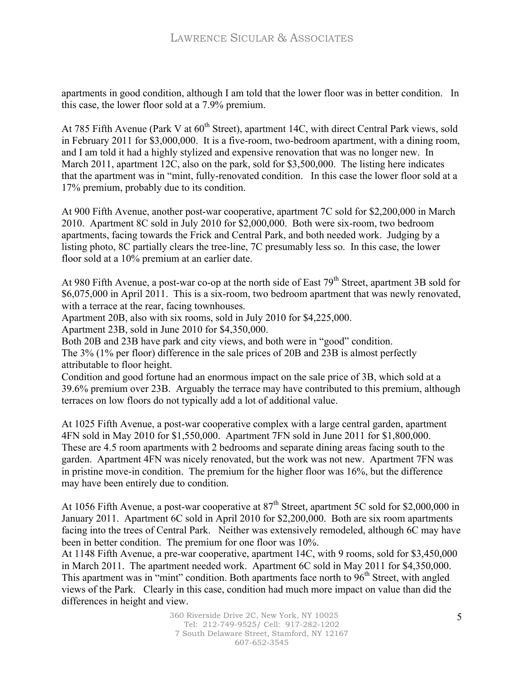apartments in good condition, although I am told that the lower floor was in better condition. In this case, the lower floor sold at a 7.9% premium.

At 785 Fifth Avenue (Park V at  $60^{\text{th}}$  Street), apartment 14C, with direct Central Park views, sold in February 2011 for \$3,000,000. It is a five-room, two-bedroom apartment, with a dining room, and I am told it had a highly stylized and expensive renovation that was no longer new. In March 2011, apartment 12C, also on the park, sold for \$3,500,000. The listing here indicates that the apartment was in "mint, fully-renovated condition. In this case the lower floor sold at a 17% premium, probably due to its condition.

At 900 Fifth Avenue, another post-war cooperative, apartment 7C sold for \$2,200,000 in March 2010. Apartment 8C sold in July 2010 for \$2,000,000. Both were six-room, two bedroom apartments, facing towards the Frick and Central Park, and both needed work. Judging by a listing photo, 8C partially clears the tree-line, 7C presumably less so. In this case, the lower floor sold at a 10% premium at an earlier date.

At 980 Fifth Avenue, a post-war co-op at the north side of East 79<sup>th</sup> Street, apartment 3B sold for \$6,075,000 in April 2011. This is a six-room, two bedroom apartment that was newly renovated, with a terrace at the rear, facing townhouses.

Apartment 20B, also with six rooms, sold in July 2010 for \$4,225,000.

Apartment 23B, sold in June 2010 for \$4,350,000.

Both 20B and 23B have park and city views, and both were in "good" condition.

The 3% (1% per floor) difference in the sale prices of 20B and 23B is almost perfectly attributable to floor height.

Condition and good fortune had an enormous impact on the sale price of 3B, which sold at a 39.6% premium over 23B. Arguably the terrace may have contributed to this premium, although terraces on low floors do not typically add a lot of additional value.

At 1025 Fifth Avenue, a post-war cooperative complex with a large central garden, apartment 4FN sold in May 2010 for \$1,550,000. Apartment 7FN sold in June 2011 for \$1,800,000. These are 4.5 room apartments with 2 bedrooms and separate dining areas facing south to the garden. Apartment 4FN was nicely renovated, but the work was not new. Apartment 7FN was in pristine move-in condition. The premium for the higher floor was 16%, but the difference may have been entirely due to condition.

At 1056 Fifth Avenue, a post-war cooperative at 87<sup>th</sup> Street, apartment 5C sold for \$2,000,000 in January 2011. Apartment 6C sold in April 2010 for \$2,200,000. Both are six room apartments facing into the trees of Central Park. Neither was extensively remodeled, although 6C may have been in better condition. The premium for one floor was 10%.

At 1148 Fifth Avenue, a pre-war cooperative, apartment 14C, with 9 rooms, sold for \$3,450,000 in March 2011. The apartment needed work. Apartment 6C sold in May 2011 for \$4,350,000. This apartment was in "mint" condition. Both apartments face north to  $96<sup>th</sup>$  Street, with angled views of the Park. Clearly in this case, condition had much more impact on value than did the differences in height and view.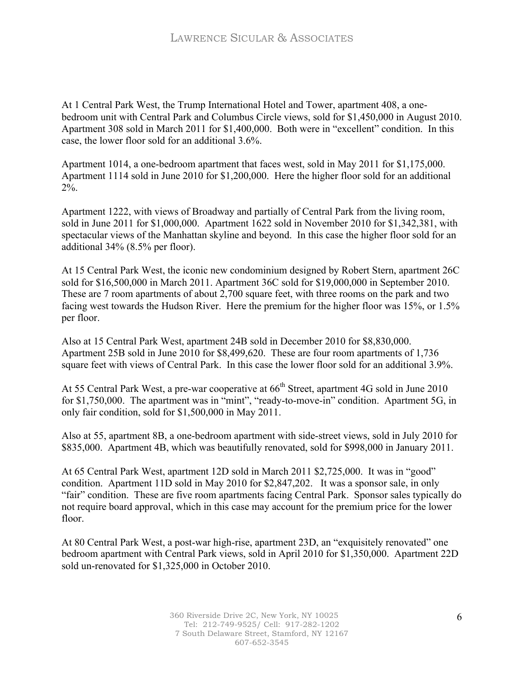At 1 Central Park West, the Trump International Hotel and Tower, apartment 408, a onebedroom unit with Central Park and Columbus Circle views, sold for \$1,450,000 in August 2010. Apartment 308 sold in March 2011 for \$1,400,000. Both were in "excellent" condition. In this case, the lower floor sold for an additional 3.6%.

Apartment 1014, a one-bedroom apartment that faces west, sold in May 2011 for \$1,175,000. Apartment 1114 sold in June 2010 for \$1,200,000. Here the higher floor sold for an additional 2%.

Apartment 1222, with views of Broadway and partially of Central Park from the living room, sold in June 2011 for \$1,000,000. Apartment 1622 sold in November 2010 for \$1,342,381, with spectacular views of the Manhattan skyline and beyond. In this case the higher floor sold for an additional 34% (8.5% per floor).

At 15 Central Park West, the iconic new condominium designed by Robert Stern, apartment 26C sold for \$16,500,000 in March 2011. Apartment 36C sold for \$19,000,000 in September 2010. These are 7 room apartments of about 2,700 square feet, with three rooms on the park and two facing west towards the Hudson River. Here the premium for the higher floor was 15%, or 1.5% per floor.

Also at 15 Central Park West, apartment 24B sold in December 2010 for \$8,830,000. Apartment 25B sold in June 2010 for \$8,499,620. These are four room apartments of 1,736 square feet with views of Central Park. In this case the lower floor sold for an additional 3.9%.

At 55 Central Park West, a pre-war cooperative at 66<sup>th</sup> Street, apartment 4G sold in June 2010 for \$1,750,000. The apartment was in "mint", "ready-to-move-in" condition. Apartment 5G, in only fair condition, sold for \$1,500,000 in May 2011.

Also at 55, apartment 8B, a one-bedroom apartment with side-street views, sold in July 2010 for \$835,000. Apartment 4B, which was beautifully renovated, sold for \$998,000 in January 2011.

At 65 Central Park West, apartment 12D sold in March 2011 \$2,725,000. It was in "good" condition. Apartment 11D sold in May 2010 for \$2,847,202. It was a sponsor sale, in only "fair" condition. These are five room apartments facing Central Park. Sponsor sales typically do not require board approval, which in this case may account for the premium price for the lower floor.

At 80 Central Park West, a post-war high-rise, apartment 23D, an "exquisitely renovated" one bedroom apartment with Central Park views, sold in April 2010 for \$1,350,000. Apartment 22D sold un-renovated for \$1,325,000 in October 2010.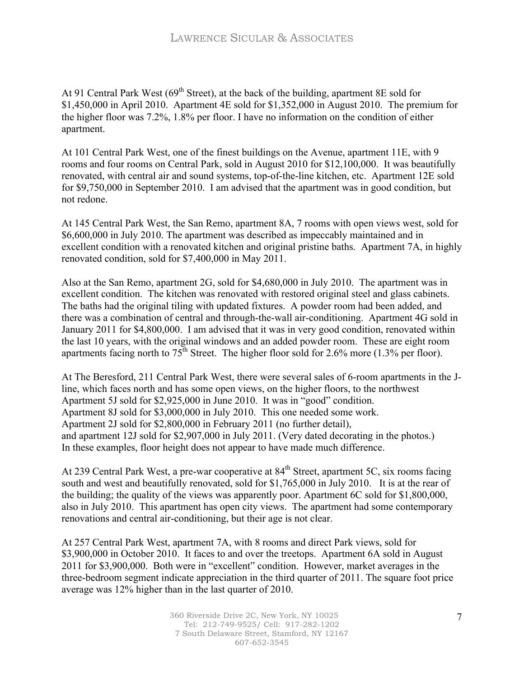At 91 Central Park West ( $69<sup>th</sup> Street$ ), at the back of the building, apartment 8E sold for \$1,450,000 in April 2010. Apartment 4E sold for \$1,352,000 in August 2010. The premium for the higher floor was 7.2%, 1.8% per floor. I have no information on the condition of either apartment.

At 101 Central Park West, one of the finest buildings on the Avenue, apartment 11E, with 9 rooms and four rooms on Central Park, sold in August 2010 for \$12,100,000. It was beautifully renovated, with central air and sound systems, top-of-the-line kitchen, etc. Apartment 12E sold for \$9,750,000 in September 2010. I am advised that the apartment was in good condition, but not redone.

At 145 Central Park West, the San Remo, apartment 8A, 7 rooms with open views west, sold for \$6,600,000 in July 2010. The apartment was described as impeccably maintained and in excellent condition with a renovated kitchen and original pristine baths. Apartment 7A, in highly renovated condition, sold for \$7,400,000 in May 2011.

Also at the San Remo, apartment 2G, sold for \$4,680,000 in July 2010. The apartment was in excellent condition. The kitchen was renovated with restored original steel and glass cabinets. The baths had the original tiling with updated fixtures. A powder room had been added, and there was a combination of central and through-the-wall air-conditioning. Apartment 4G sold in January 2011 for \$4,800,000. I am advised that it was in very good condition, renovated within the last 10 years, with the original windows and an added powder room. These are eight room apartments facing north to  $75<sup>th</sup>$  Street. The higher floor sold for 2.6% more (1.3% per floor).

At The Beresford, 211 Central Park West, there were several sales of 6-room apartments in the Jline, which faces north and has some open views, on the higher floors, to the northwest Apartment 5J sold for \$2,925,000 in June 2010. It was in "good" condition. Apartment 8J sold for \$3,000,000 in July 2010. This one needed some work. Apartment 2J sold for \$2,800,000 in February 2011 (no further detail), and apartment 12J sold for \$2,907,000 in July 2011. (Very dated decorating in the photos.) In these examples, floor height does not appear to have made much difference.

At 239 Central Park West, a pre-war cooperative at 84<sup>th</sup> Street, apartment 5C, six rooms facing south and west and beautifully renovated, sold for \$1,765,000 in July 2010. It is at the rear of the building; the quality of the views was apparently poor. Apartment 6C sold for \$1,800,000, also in July 2010. This apartment has open city views. The apartment had some contemporary renovations and central air-conditioning, but their age is not clear.

At 257 Central Park West, apartment 7A, with 8 rooms and direct Park views, sold for \$3,900,000 in October 2010. It faces to and over the treetops. Apartment 6A sold in August 2011 for \$3,900,000. Both were in "excellent" condition. However, market averages in the three-bedroom segment indicate appreciation in the third quarter of 2011. The square foot price average was 12% higher than in the last quarter of 2010.